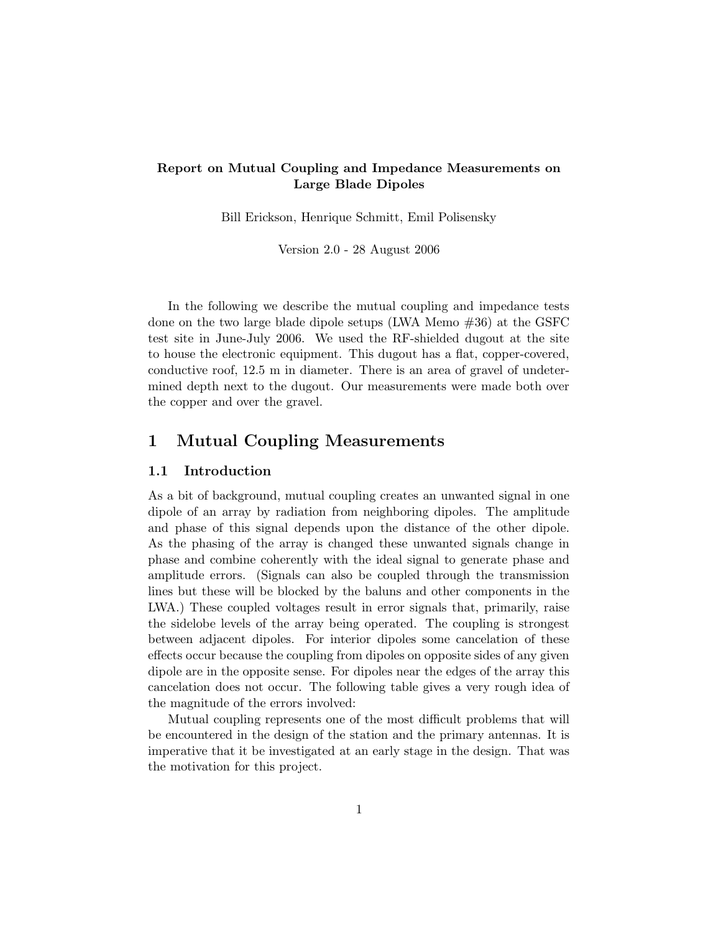## Report on Mutual Coupling and Impedance Measurements on Large Blade Dipoles

Bill Erickson, Henrique Schmitt, Emil Polisensky

Version 2.0 - 28 August 2006

In the following we describe the mutual coupling and impedance tests done on the two large blade dipole setups (LWA Memo #36) at the GSFC test site in June-July 2006. We used the RF-shielded dugout at the site to house the electronic equipment. This dugout has a flat, copper-covered, conductive roof, 12.5 m in diameter. There is an area of gravel of undetermined depth next to the dugout. Our measurements were made both over the copper and over the gravel.

## 1 Mutual Coupling Measurements

#### 1.1 Introduction

As a bit of background, mutual coupling creates an unwanted signal in one dipole of an array by radiation from neighboring dipoles. The amplitude and phase of this signal depends upon the distance of the other dipole. As the phasing of the array is changed these unwanted signals change in phase and combine coherently with the ideal signal to generate phase and amplitude errors. (Signals can also be coupled through the transmission lines but these will be blocked by the baluns and other components in the LWA.) These coupled voltages result in error signals that, primarily, raise the sidelobe levels of the array being operated. The coupling is strongest between adjacent dipoles. For interior dipoles some cancelation of these effects occur because the coupling from dipoles on opposite sides of any given dipole are in the opposite sense. For dipoles near the edges of the array this cancelation does not occur. The following table gives a very rough idea of the magnitude of the errors involved:

Mutual coupling represents one of the most difficult problems that will be encountered in the design of the station and the primary antennas. It is imperative that it be investigated at an early stage in the design. That was the motivation for this project.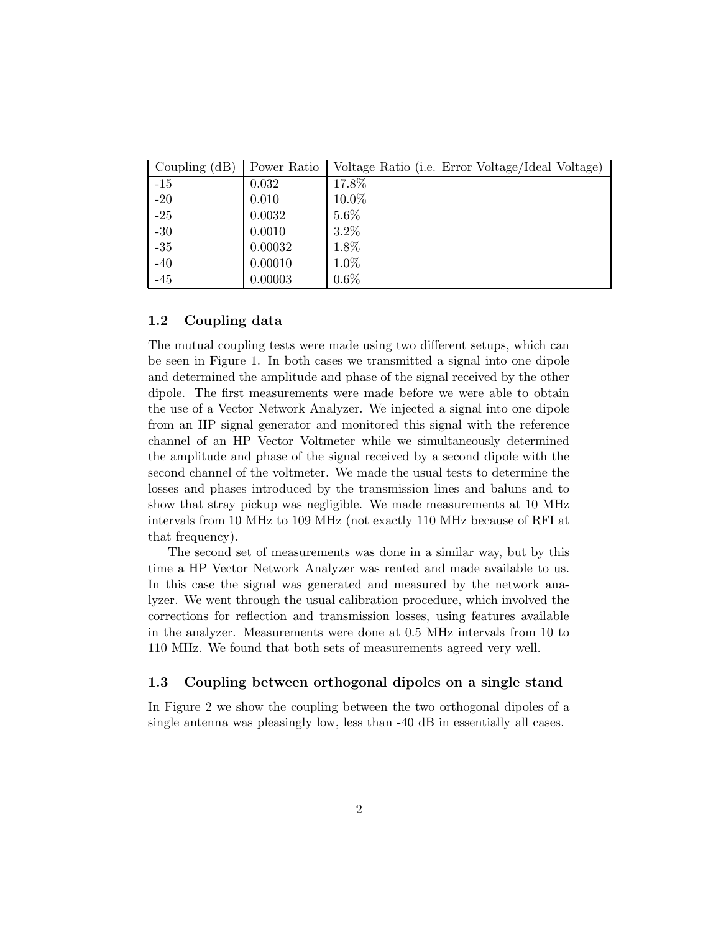| Coupling $(dB)$ | Power Ratio | Voltage Ratio (i.e. Error Voltage/Ideal Voltage) |
|-----------------|-------------|--------------------------------------------------|
| $-15$           | 0.032       | 17.8%                                            |
| $-20$           | 0.010       | $10.0\%$                                         |
| $-25$           | 0.0032      | $5.6\%$                                          |
| $-30$           | 0.0010      | $3.2\%$                                          |
| $-35$           | 0.00032     | 1.8%                                             |
| $-40$           | 0.00010     | 1.0%                                             |
| $-45$           | 0.00003     | $0.6\%$                                          |

### 1.2 Coupling data

The mutual coupling tests were made using two different setups, which can be seen in Figure 1. In both cases we transmitted a signal into one dipole and determined the amplitude and phase of the signal received by the other dipole. The first measurements were made before we were able to obtain the use of a Vector Network Analyzer. We injected a signal into one dipole from an HP signal generator and monitored this signal with the reference channel of an HP Vector Voltmeter while we simultaneously determined the amplitude and phase of the signal received by a second dipole with the second channel of the voltmeter. We made the usual tests to determine the losses and phases introduced by the transmission lines and baluns and to show that stray pickup was negligible. We made measurements at 10 MHz intervals from 10 MHz to 109 MHz (not exactly 110 MHz because of RFI at that frequency).

The second set of measurements was done in a similar way, but by this time a HP Vector Network Analyzer was rented and made available to us. In this case the signal was generated and measured by the network analyzer. We went through the usual calibration procedure, which involved the corrections for reflection and transmission losses, using features available in the analyzer. Measurements were done at 0.5 MHz intervals from 10 to 110 MHz. We found that both sets of measurements agreed very well.

#### 1.3 Coupling between orthogonal dipoles on a single stand

In Figure 2 we show the coupling between the two orthogonal dipoles of a single antenna was pleasingly low, less than -40 dB in essentially all cases.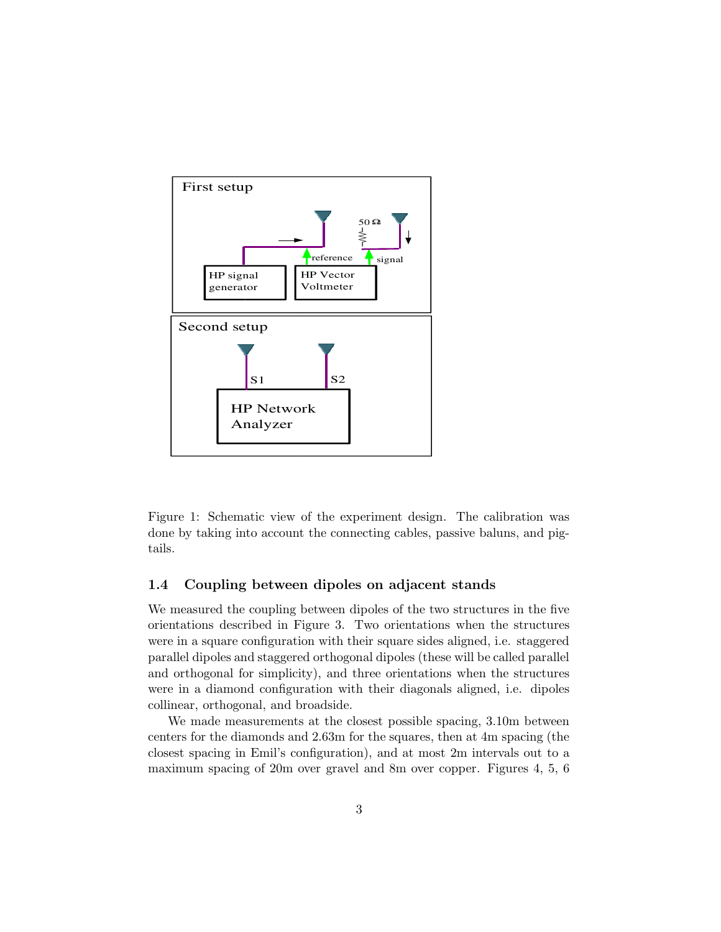

Figure 1: Schematic view of the experiment design. The calibration was done by taking into account the connecting cables, passive baluns, and pigtails.

#### 1.4 Coupling between dipoles on adjacent stands

We measured the coupling between dipoles of the two structures in the five orientations described in Figure 3. Two orientations when the structures were in a square configuration with their square sides aligned, i.e. staggered parallel dipoles and staggered orthogonal dipoles (these will be called parallel and orthogonal for simplicity), and three orientations when the structures were in a diamond configuration with their diagonals aligned, i.e. dipoles collinear, orthogonal, and broadside.

We made measurements at the closest possible spacing, 3.10m between centers for the diamonds and 2.63m for the squares, then at 4m spacing (the closest spacing in Emil's configuration), and at most 2m intervals out to a maximum spacing of 20m over gravel and 8m over copper. Figures 4, 5, 6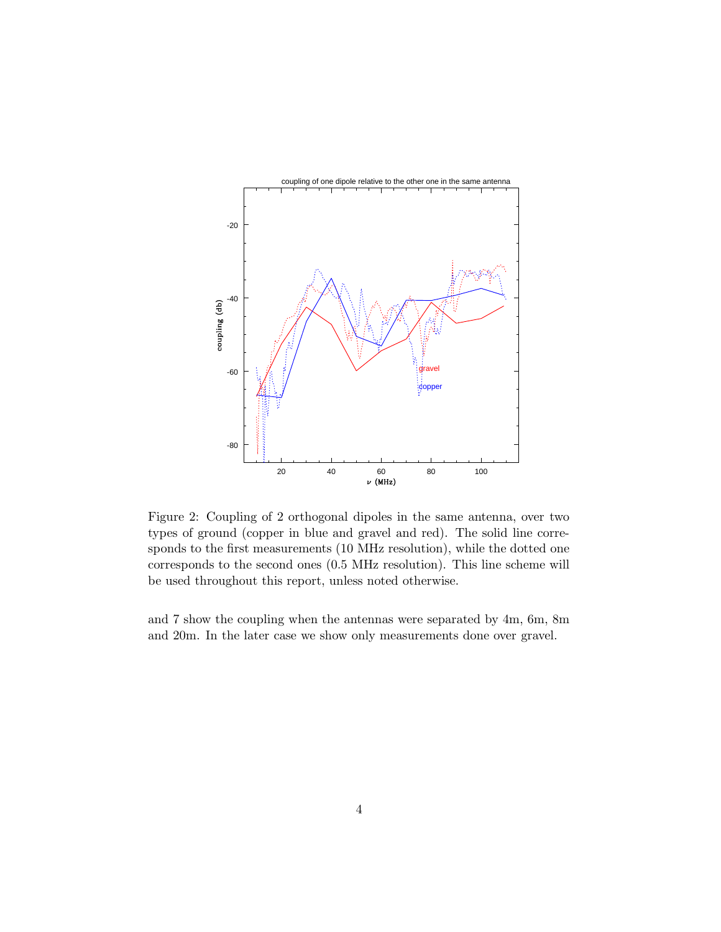

Figure 2: Coupling of 2 orthogonal dipoles in the same antenna, over two types of ground (copper in blue and gravel and red). The solid line corresponds to the first measurements (10 MHz resolution), while the dotted one corresponds to the second ones (0.5 MHz resolution). This line scheme will be used throughout this report, unless noted otherwise.

and 7 show the coupling when the antennas were separated by 4m, 6m, 8m and 20m. In the later case we show only measurements done over gravel.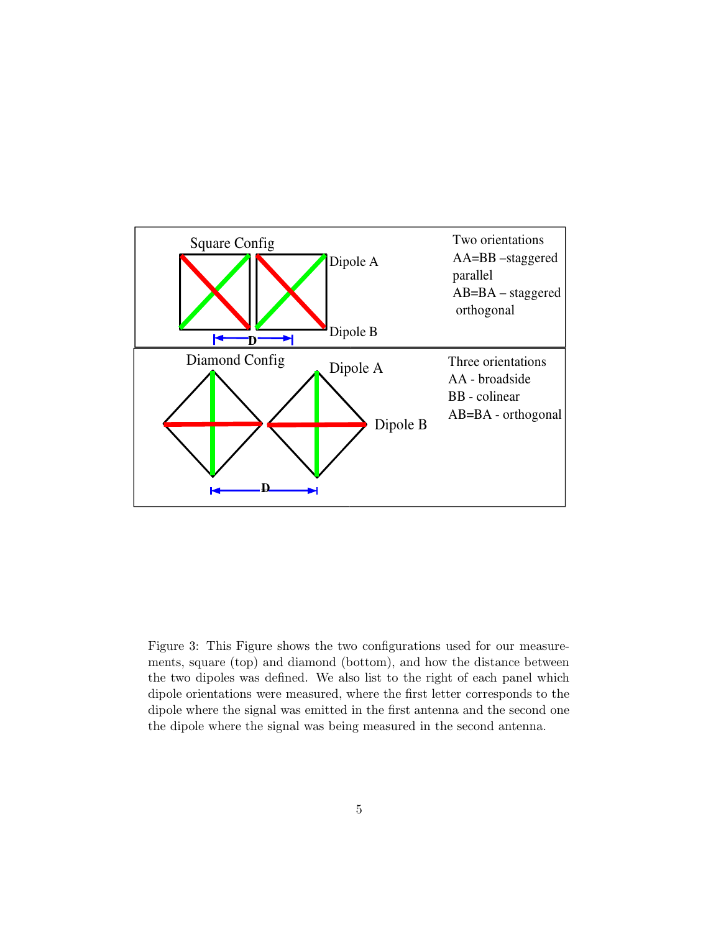

Figure 3: This Figure shows the two configurations used for our measurements, square (top) and diamond (bottom), and how the distance between the two dipoles was defined. We also list to the right of each panel which dipole orientations were measured, where the first letter corresponds to the dipole where the signal was emitted in the first antenna and the second one the dipole where the signal was being measured in the second antenna.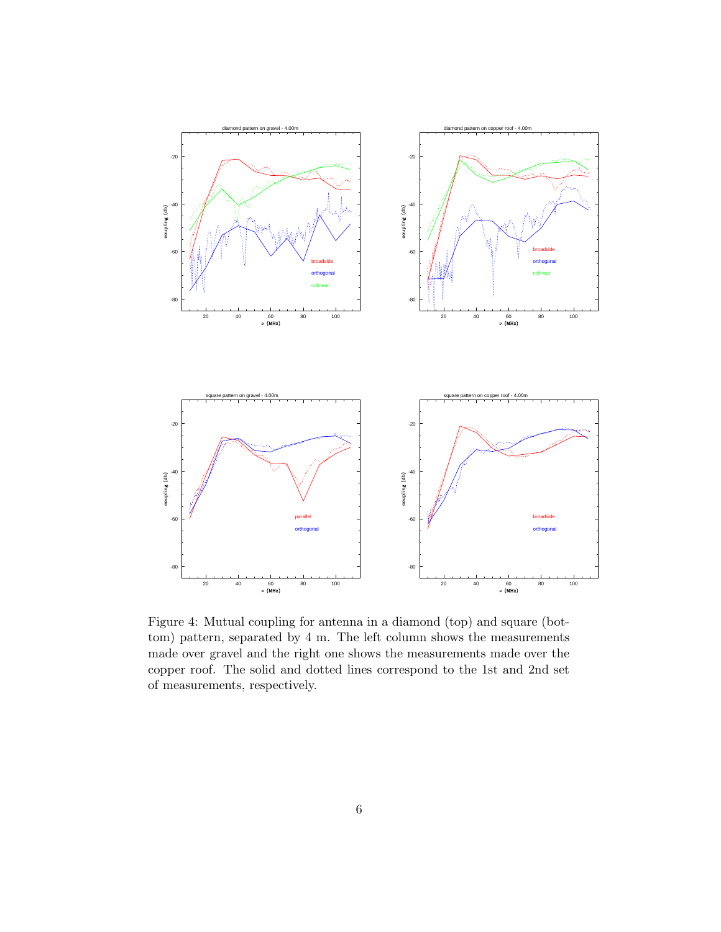

Figure 4: Mutual coupling for antenna in a diamond (top) and square (bottom) pattern, separated by 4 m. The left column shows the measurements made over gravel and the right one shows the measurements made over the copper roof. The solid and dotted lines correspond to the 1st and 2nd set of measurements, respectively.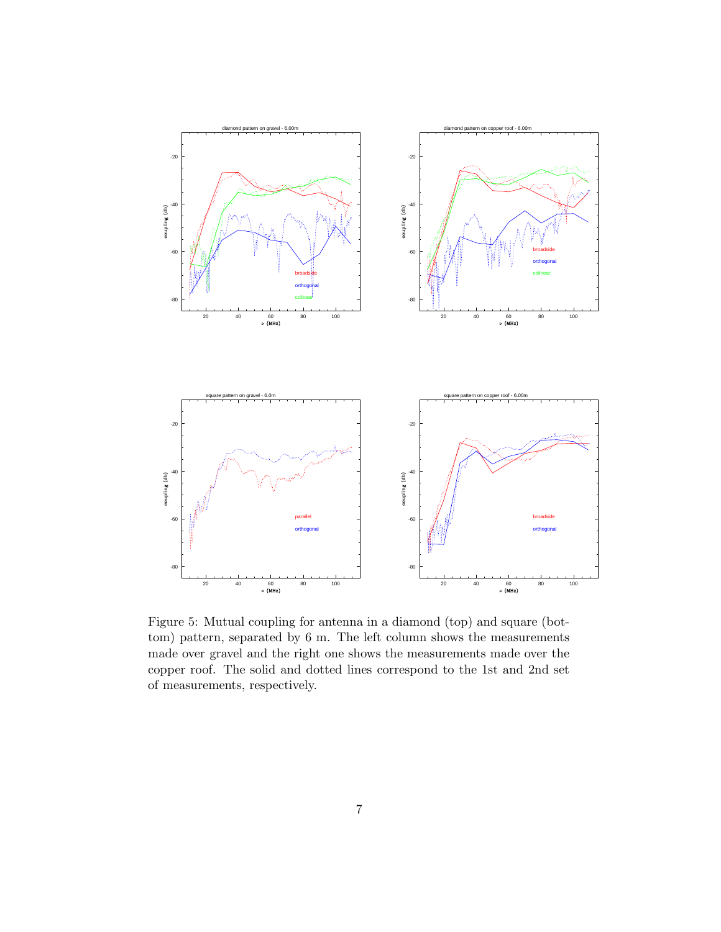

Figure 5: Mutual coupling for antenna in a diamond (top) and square (bottom) pattern, separated by 6 m. The left column shows the measurements made over gravel and the right one shows the measurements made over the copper roof. The solid and dotted lines correspond to the 1st and 2nd set of measurements, respectively.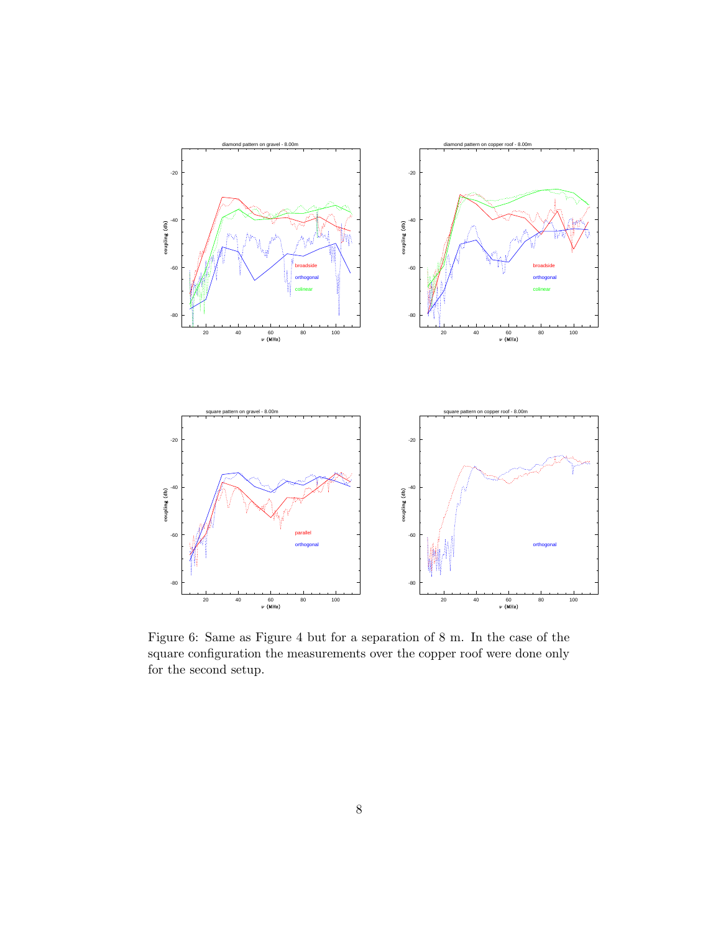

Figure 6: Same as Figure 4 but for a separation of 8 m. In the case of the square configuration the measurements over the copper roof were done only for the second setup.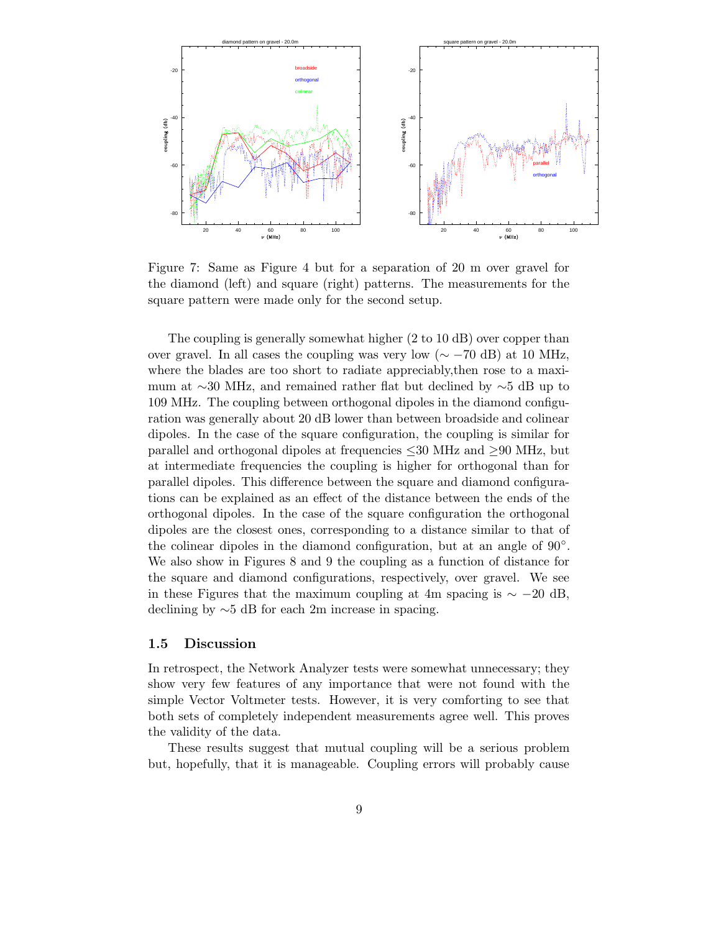

Figure 7: Same as Figure 4 but for a separation of 20 m over gravel for the diamond (left) and square (right) patterns. The measurements for the square pattern were made only for the second setup.

The coupling is generally somewhat higher (2 to 10 dB) over copper than over gravel. In all cases the coupling was very low ( $\sim$  −70 dB) at 10 MHz, where the blades are too short to radiate appreciably,then rose to a maximum at ∼30 MHz, and remained rather flat but declined by ∼5 dB up to 109 MHz. The coupling between orthogonal dipoles in the diamond configuration was generally about 20 dB lower than between broadside and colinear dipoles. In the case of the square configuration, the coupling is similar for parallel and orthogonal dipoles at frequencies ≤30 MHz and ≥90 MHz, but at intermediate frequencies the coupling is higher for orthogonal than for parallel dipoles. This difference between the square and diamond configurations can be explained as an effect of the distance between the ends of the orthogonal dipoles. In the case of the square configuration the orthogonal dipoles are the closest ones, corresponding to a distance similar to that of the colinear dipoles in the diamond configuration, but at an angle of 90°. We also show in Figures 8 and 9 the coupling as a function of distance for the square and diamond configurations, respectively, over gravel. We see in these Figures that the maximum coupling at 4m spacing is  $\sim -20$  dB, declining by ∼5 dB for each 2m increase in spacing.

#### 1.5 Discussion

In retrospect, the Network Analyzer tests were somewhat unnecessary; they show very few features of any importance that were not found with the simple Vector Voltmeter tests. However, it is very comforting to see that both sets of completely independent measurements agree well. This proves the validity of the data.

These results suggest that mutual coupling will be a serious problem but, hopefully, that it is manageable. Coupling errors will probably cause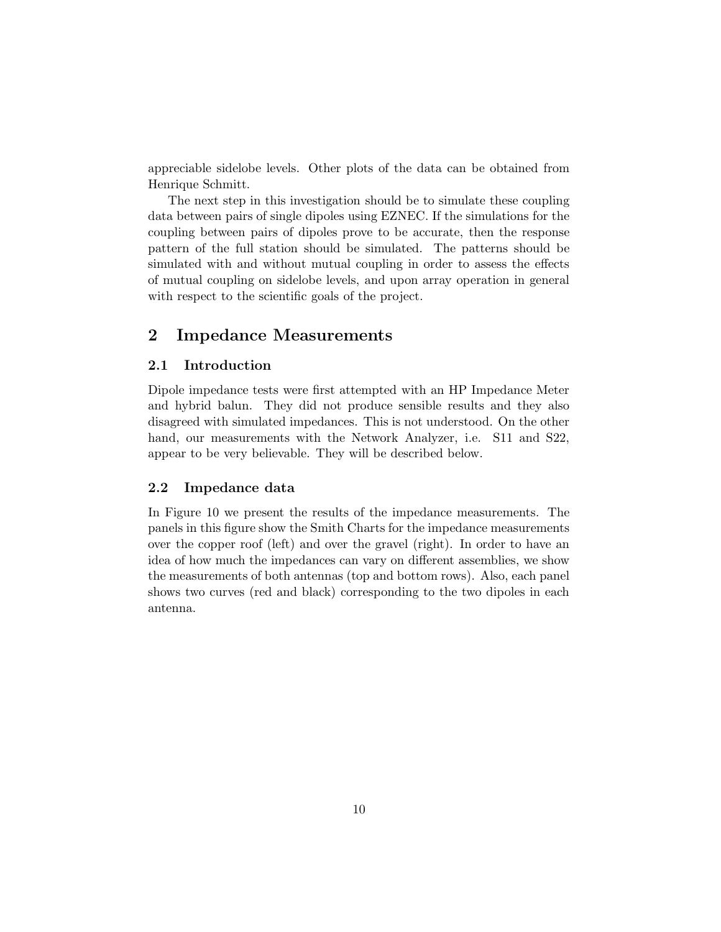appreciable sidelobe levels. Other plots of the data can be obtained from Henrique Schmitt.

The next step in this investigation should be to simulate these coupling data between pairs of single dipoles using EZNEC. If the simulations for the coupling between pairs of dipoles prove to be accurate, then the response pattern of the full station should be simulated. The patterns should be simulated with and without mutual coupling in order to assess the effects of mutual coupling on sidelobe levels, and upon array operation in general with respect to the scientific goals of the project.

# 2 Impedance Measurements

### 2.1 Introduction

Dipole impedance tests were first attempted with an HP Impedance Meter and hybrid balun. They did not produce sensible results and they also disagreed with simulated impedances. This is not understood. On the other hand, our measurements with the Network Analyzer, i.e. S11 and S22, appear to be very believable. They will be described below.

#### 2.2 Impedance data

In Figure 10 we present the results of the impedance measurements. The panels in this figure show the Smith Charts for the impedance measurements over the copper roof (left) and over the gravel (right). In order to have an idea of how much the impedances can vary on different assemblies, we show the measurements of both antennas (top and bottom rows). Also, each panel shows two curves (red and black) corresponding to the two dipoles in each antenna.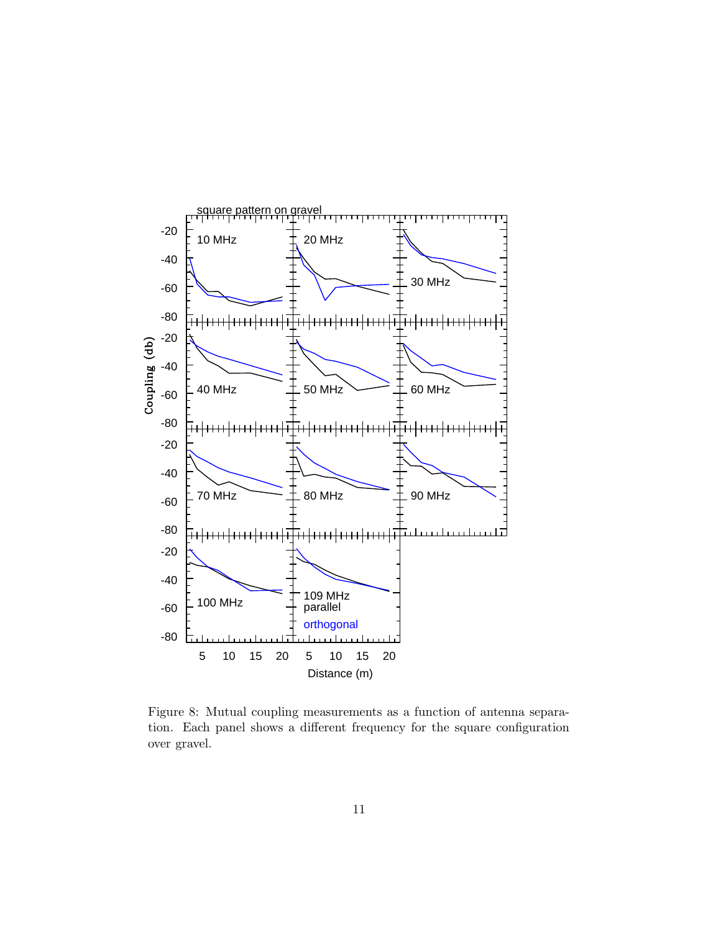

Figure 8: Mutual coupling measurements as a function of antenna separation. Each panel shows a different frequency for the square configuration over gravel.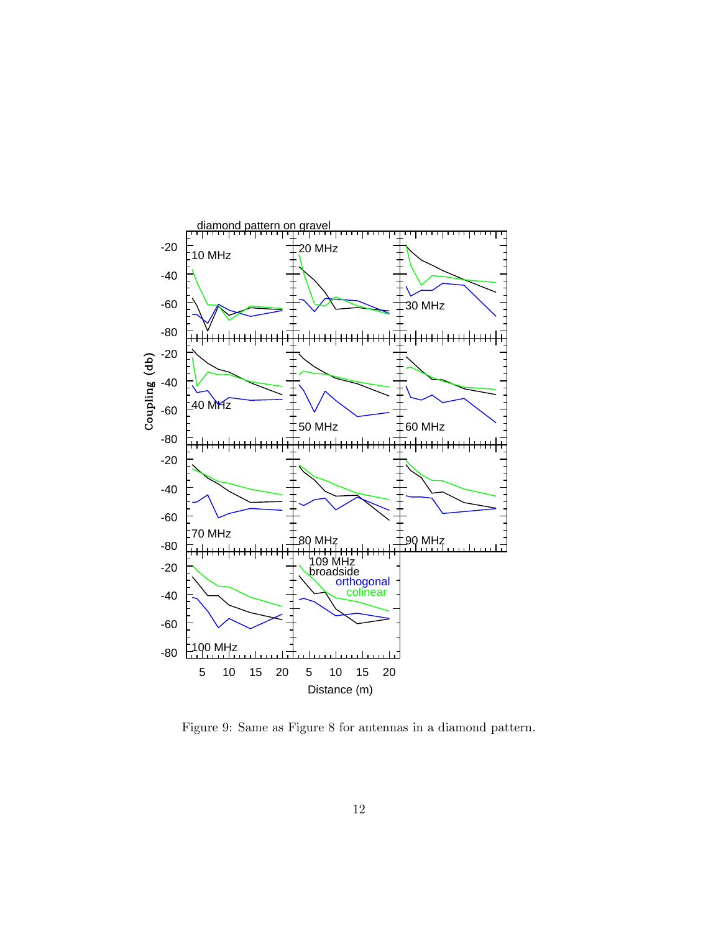

Figure 9: Same as Figure 8 for antennas in a diamond pattern.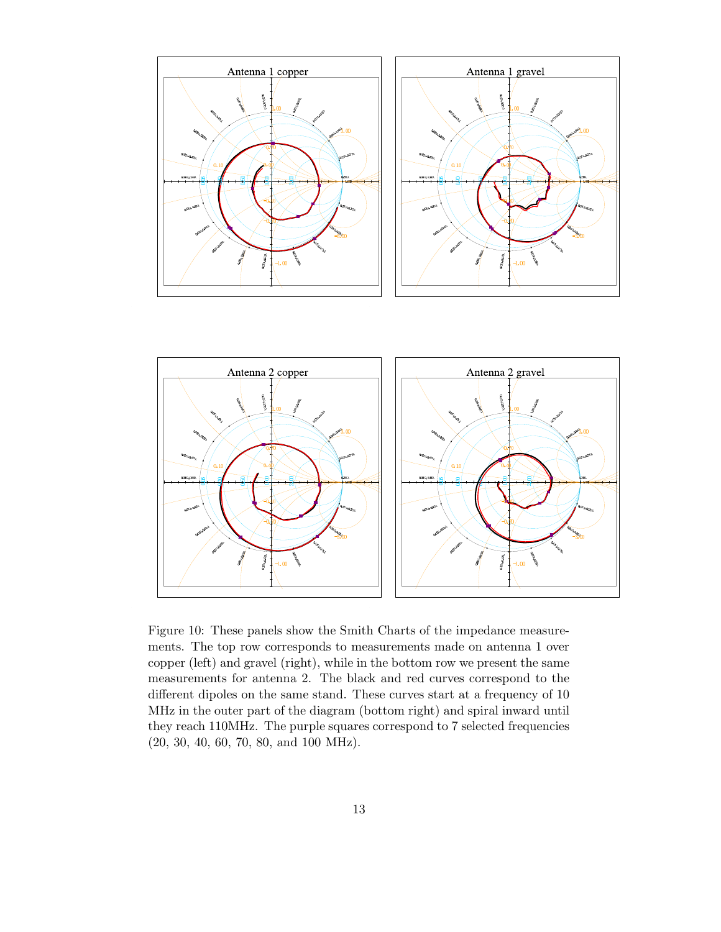



Figure 10: These panels show the Smith Charts of the impedance measurements. The top row corresponds to measurements made on antenna 1 over copper (left) and gravel (right), while in the bottom row we present the same measurements for antenna 2. The black and red curves correspond to the different dipoles on the same stand. These curves start at a frequency of 10 MHz in the outer part of the diagram (bottom right) and spiral inward until they reach 110MHz. The purple squares correspond to 7 selected frequencies (20, 30, 40, 60, 70, 80, and 100 MHz).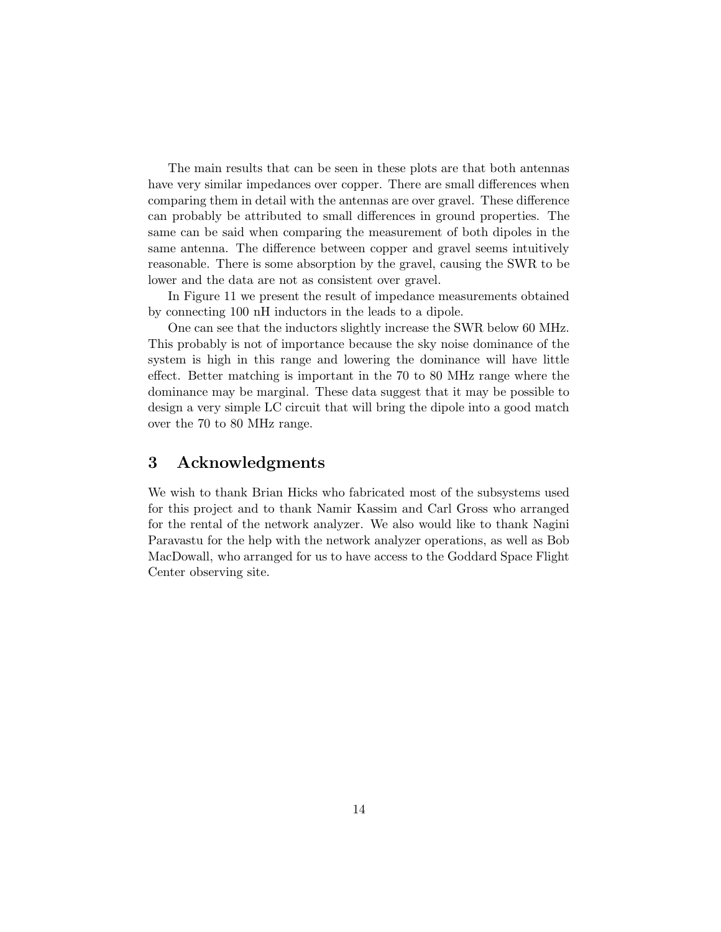The main results that can be seen in these plots are that both antennas have very similar impedances over copper. There are small differences when comparing them in detail with the antennas are over gravel. These difference can probably be attributed to small differences in ground properties. The same can be said when comparing the measurement of both dipoles in the same antenna. The difference between copper and gravel seems intuitively reasonable. There is some absorption by the gravel, causing the SWR to be lower and the data are not as consistent over gravel.

In Figure 11 we present the result of impedance measurements obtained by connecting 100 nH inductors in the leads to a dipole.

One can see that the inductors slightly increase the SWR below 60 MHz. This probably is not of importance because the sky noise dominance of the system is high in this range and lowering the dominance will have little effect. Better matching is important in the 70 to 80 MHz range where the dominance may be marginal. These data suggest that it may be possible to design a very simple LC circuit that will bring the dipole into a good match over the 70 to 80 MHz range.

## 3 Acknowledgments

We wish to thank Brian Hicks who fabricated most of the subsystems used for this project and to thank Namir Kassim and Carl Gross who arranged for the rental of the network analyzer. We also would like to thank Nagini Paravastu for the help with the network analyzer operations, as well as Bob MacDowall, who arranged for us to have access to the Goddard Space Flight Center observing site.